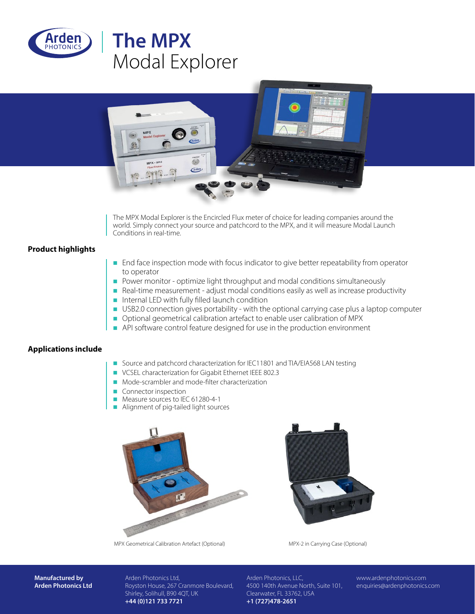

# **The MPX** Modal Explorer



The MPX Modal Explorer is the Encircled Flux meter of choice for leading companies around the world. Simply connect your source and patchcord to the MPX, and it will measure Modal Launch Conditions in real-time.

### **Product highlights**

- **End face inspection mode with focus indicator to give better repeatability from operator** to operator
- n Power monitor optimize light throughput and modal conditions simultaneously
- $\blacksquare$  Real-time measurement adjust modal conditions easily as well as increase productivity
- $\blacksquare$  Internal LED with fully filled launch condition
- **USB2.0 connection gives portability with the optional carrying case plus a laptop computer**
- Optional geometrical calibration artefact to enable user calibration of MPX
- $\blacksquare$  API software control feature designed for use in the production environment

#### **Applications include**

- Source and patchcord characterization for IEC11801 and TIA/EIA568 LAN testing
- VCSEL characterization for Gigabit Ethernet IEEE 802.3
- Mode-scrambler and mode-filter characterization
- $\blacksquare$  Connector inspection
- Measure sources to IEC 61280-4-1
- $\blacksquare$  Alignment of pig-tailed light sources





MPX Geometrical Calibration Artefact (Optional) MPX-2 in Carrying Case (Optional)

**Manufactured by Arden Photonics Ltd** Arden Photonics Ltd, Royston House, 267 Cranmore Boulevard, Shirley, Solihull, B90 4QT, UK **+44 (0)121 733 7721**

Arden Photonics, LLC, 4500 140th Avenue North, Suite 101, Clearwater, FL 33762, USA **+1 (727)478-2651**

www.ardenphotonics.com enquiries@ardenphotonics.com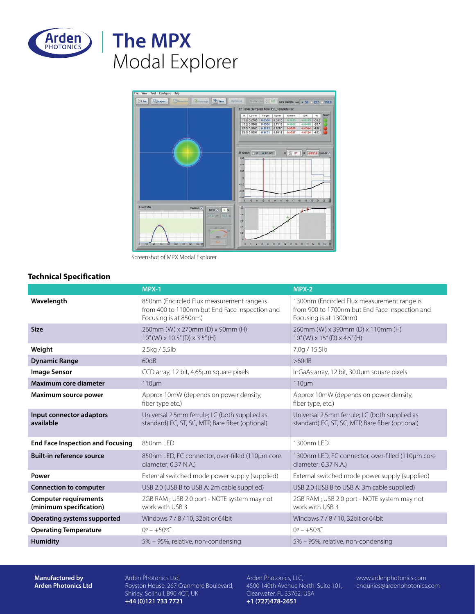

# **The MPX** Modal Explorer



Screenshot of MPX Modal Explorer

## **Technical Specification**

|                                                         | MPX-1                                                                                                                 | $MPX-2$                                                                                                                 |
|---------------------------------------------------------|-----------------------------------------------------------------------------------------------------------------------|-------------------------------------------------------------------------------------------------------------------------|
| Wavelength                                              | 850nm (Encircled Flux measurement range is<br>from 400 to 1100nm but End Face Inspection and<br>Focusing is at 850nm) | 1300nm (Encircled Flux measurement range is<br>from 900 to 1700nm but End Face Inspection and<br>Focusing is at 1300nm) |
| <b>Size</b>                                             | 260mm (W) x 270mm (D) x 90mm (H)<br>$10''$ (W) x $10.5''$ (D) x $3.5''$ (H)                                           | 260mm (W) x 390mm (D) x 110mm (H)<br>$10''$ (W) $\times$ 15" (D) $\times$ 4.5" (H)                                      |
| Weight                                                  | 2.5kg / 5.5lb                                                                                                         | 7.0g / 15.5lb                                                                                                           |
| <b>Dynamic Range</b>                                    | 60dB                                                                                                                  | >60dB                                                                                                                   |
| <b>Image Sensor</b>                                     | CCD array, 12 bit, 4.65µm square pixels                                                                               | InGaAs array, 12 bit, 30.0µm square pixels                                                                              |
| <b>Maximum core diameter</b>                            | 110um                                                                                                                 | $110 \mu m$                                                                                                             |
| Maximum source power                                    | Approx 10mW (depends on power density,<br>fiber type etc.)                                                            | Approx 10mW (depends on power density,<br>fiber type, etc.)                                                             |
| Input connector adaptors<br>available                   | Universal 2.5mm ferrule; LC (both supplied as<br>standard) FC, ST, SC, MTP, Bare fiber (optional)                     | Universal 2.5mm ferrule; LC (both supplied as<br>standard) FC, ST, SC, MTP, Bare fiber (optional)                       |
| <b>End Face Inspection and Focusing</b>                 | 850nm I FD                                                                                                            | 1300nm LED                                                                                                              |
| <b>Built-in reference source</b>                        | 850nm LED, FC connector, over-filled (110µm core<br>diameter; 0.37 N.A.)                                              | 1300nm LED, FC connector, over-filled (110µm core<br>diameter; 0.37 N.A.)                                               |
| Power                                                   | External switched mode power supply (supplied)                                                                        | External switched mode power supply (supplied)                                                                          |
| <b>Connection to computer</b>                           | USB 2.0 (USB B to USB A: 2m cable supplied)                                                                           | USB 2.0 (USB B to USB A: 3m cable supplied)                                                                             |
| <b>Computer requirements</b><br>(minimum specification) | 2GB RAM; USB 2.0 port - NOTE system may not<br>work with USB 3                                                        | 2GB RAM; USB 2.0 port - NOTE system may not<br>work with USB 3                                                          |
| <b>Operating systems supported</b>                      | Windows 7 / 8 / 10, 32bit or 64bit                                                                                    | Windows 7 / 8 / 10, 32bit or 64bit                                                                                      |
| <b>Operating Temperature</b>                            | $0^{\circ} - +50^{\circ}$ C                                                                                           | $0^{\circ} - +50^{\circ}$ C                                                                                             |
| <b>Humidity</b>                                         | 5% - 95%, relative, non-condensing                                                                                    | 5% - 95%, relative, non-condensing                                                                                      |

**Manufactured by Arden Photonics Ltd** Arden Photonics Ltd, Royston House, 267 Cranmore Boulevard, Shirley, Solihull, B90 4QT, UK **+44 (0)121 733 7721**

Arden Photonics, LLC, 4500 140th Avenue North, Suite 101, Clearwater, FL 33762, USA **+1 (727)478-2651**

www.ardenphotonics.com enquiries@ardenphotonics.com